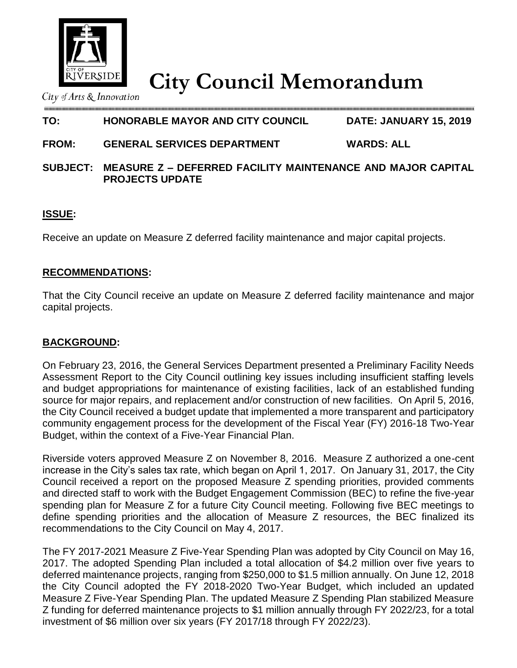

# **City Council Memorandum**

City of Arts & Innovation

# **TO: HONORABLE MAYOR AND CITY COUNCIL DATE: JANUARY 15, 2019**

# **FROM: GENERAL SERVICES DEPARTMENT WARDS: ALL**

## **SUBJECT: MEASURE Z – DEFERRED FACILITY MAINTENANCE AND MAJOR CAPITAL PROJECTS UPDATE**

# **ISSUE:**

Receive an update on Measure Z deferred facility maintenance and major capital projects.

## **RECOMMENDATIONS:**

That the City Council receive an update on Measure Z deferred facility maintenance and major capital projects.

## **BACKGROUND:**

On February 23, 2016, the General Services Department presented a Preliminary Facility Needs Assessment Report to the City Council outlining key issues including insufficient staffing levels and budget appropriations for maintenance of existing facilities, lack of an established funding source for major repairs, and replacement and/or construction of new facilities. On April 5, 2016, the City Council received a budget update that implemented a more transparent and participatory community engagement process for the development of the Fiscal Year (FY) 2016-18 Two-Year Budget, within the context of a Five-Year Financial Plan.

Riverside voters approved Measure Z on November 8, 2016. Measure Z authorized a one-cent increase in the City's sales tax rate, which began on April 1, 2017. On January 31, 2017, the City Council received a report on the proposed Measure Z spending priorities, provided comments and directed staff to work with the Budget Engagement Commission (BEC) to refine the five-year spending plan for Measure Z for a future City Council meeting. Following five BEC meetings to define spending priorities and the allocation of Measure Z resources, the BEC finalized its recommendations to the City Council on May 4, 2017.

The FY 2017-2021 Measure Z Five-Year Spending Plan was adopted by City Council on May 16, 2017. The adopted Spending Plan included a total allocation of \$4.2 million over five years to deferred maintenance projects, ranging from \$250,000 to \$1.5 million annually. On June 12, 2018 the City Council adopted the FY 2018-2020 Two-Year Budget, which included an updated Measure Z Five-Year Spending Plan. The updated Measure Z Spending Plan stabilized Measure Z funding for deferred maintenance projects to \$1 million annually through FY 2022/23, for a total investment of \$6 million over six years (FY 2017/18 through FY 2022/23).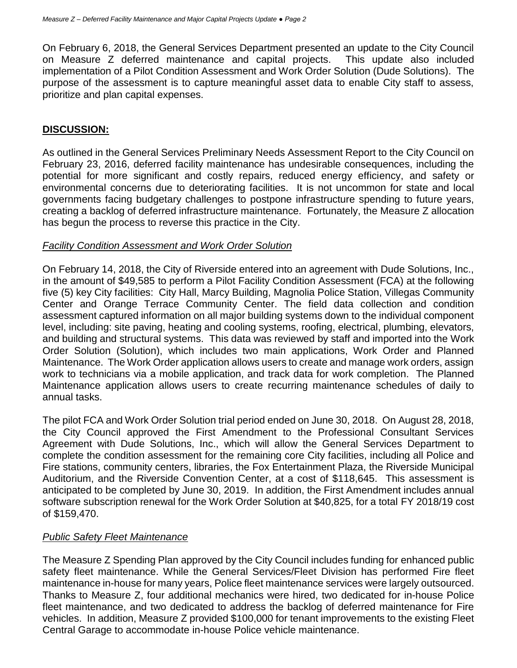On February 6, 2018, the General Services Department presented an update to the City Council on Measure Z deferred maintenance and capital projects. This update also included implementation of a Pilot Condition Assessment and Work Order Solution (Dude Solutions). The purpose of the assessment is to capture meaningful asset data to enable City staff to assess, prioritize and plan capital expenses.

#### **DISCUSSION:**

As outlined in the General Services Preliminary Needs Assessment Report to the City Council on February 23, 2016, deferred facility maintenance has undesirable consequences, including the potential for more significant and costly repairs, reduced energy efficiency, and safety or environmental concerns due to deteriorating facilities. It is not uncommon for state and local governments facing budgetary challenges to postpone infrastructure spending to future years, creating a backlog of deferred infrastructure maintenance. Fortunately, the Measure Z allocation has begun the process to reverse this practice in the City.

#### *Facility Condition Assessment and Work Order Solution*

On February 14, 2018, the City of Riverside entered into an agreement with Dude Solutions, Inc., in the amount of \$49,585 to perform a Pilot Facility Condition Assessment (FCA) at the following five (5) key City facilities: City Hall, Marcy Building, Magnolia Police Station, Villegas Community Center and Orange Terrace Community Center. The field data collection and condition assessment captured information on all major building systems down to the individual component level, including: site paving, heating and cooling systems, roofing, electrical, plumbing, elevators, and building and structural systems. This data was reviewed by staff and imported into the Work Order Solution (Solution), which includes two main applications, Work Order and Planned Maintenance. The Work Order application allows users to create and manage work orders, assign work to technicians via a mobile application, and track data for work completion. The Planned Maintenance application allows users to create recurring maintenance schedules of daily to annual tasks.

The pilot FCA and Work Order Solution trial period ended on June 30, 2018. On August 28, 2018, the City Council approved the First Amendment to the Professional Consultant Services Agreement with Dude Solutions, Inc., which will allow the General Services Department to complete the condition assessment for the remaining core City facilities, including all Police and Fire stations, community centers, libraries, the Fox Entertainment Plaza, the Riverside Municipal Auditorium, and the Riverside Convention Center, at a cost of \$118,645. This assessment is anticipated to be completed by June 30, 2019. In addition, the First Amendment includes annual software subscription renewal for the Work Order Solution at \$40,825, for a total FY 2018/19 cost of \$159,470.

#### *Public Safety Fleet Maintenance*

The Measure Z Spending Plan approved by the City Council includes funding for enhanced public safety fleet maintenance. While the General Services/Fleet Division has performed Fire fleet maintenance in-house for many years, Police fleet maintenance services were largely outsourced. Thanks to Measure Z, four additional mechanics were hired, two dedicated for in-house Police fleet maintenance, and two dedicated to address the backlog of deferred maintenance for Fire vehicles. In addition, Measure Z provided \$100,000 for tenant improvements to the existing Fleet Central Garage to accommodate in-house Police vehicle maintenance.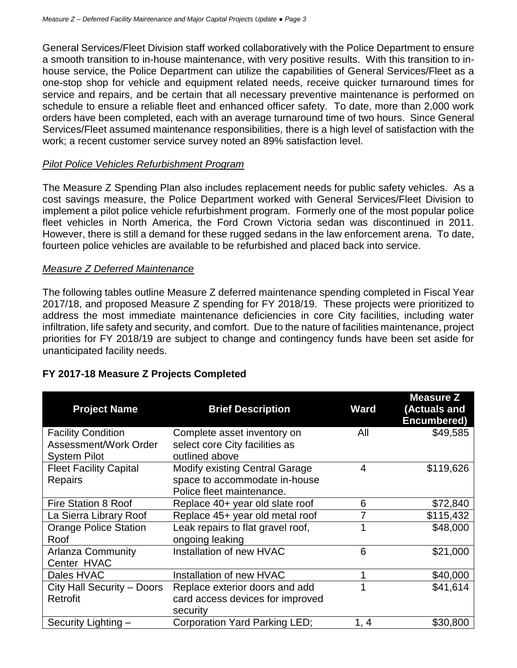General Services/Fleet Division staff worked collaboratively with the Police Department to ensure a smooth transition to in-house maintenance, with very positive results. With this transition to inhouse service, the Police Department can utilize the capabilities of General Services/Fleet as a one-stop shop for vehicle and equipment related needs, receive quicker turnaround times for service and repairs, and be certain that all necessary preventive maintenance is performed on schedule to ensure a reliable fleet and enhanced officer safety. To date, more than 2,000 work orders have been completed, each with an average turnaround time of two hours. Since General Services/Fleet assumed maintenance responsibilities, there is a high level of satisfaction with the work; a recent customer service survey noted an 89% satisfaction level.

#### *Pilot Police Vehicles Refurbishment Program*

The Measure Z Spending Plan also includes replacement needs for public safety vehicles. As a cost savings measure, the Police Department worked with General Services/Fleet Division to implement a pilot police vehicle refurbishment program. Formerly one of the most popular police fleet vehicles in North America, the Ford Crown Victoria sedan was discontinued in 2011. However, there is still a demand for these rugged sedans in the law enforcement arena. To date, fourteen police vehicles are available to be refurbished and placed back into service.

#### *Measure Z Deferred Maintenance*

The following tables outline Measure Z deferred maintenance spending completed in Fiscal Year 2017/18, and proposed Measure Z spending for FY 2018/19. These projects were prioritized to address the most immediate maintenance deficiencies in core City facilities, including water infiltration, life safety and security, and comfort. Due to the nature of facilities maintenance, project priorities for FY 2018/19 are subject to change and contingency funds have been set aside for unanticipated facility needs.

| <b>Project Name</b>           | <b>Brief Description</b>              | <b>Ward</b> | <b>Measure Z</b><br>(Actuals and<br>Encumbered) |
|-------------------------------|---------------------------------------|-------------|-------------------------------------------------|
| <b>Facility Condition</b>     | Complete asset inventory on           | All         | \$49,585                                        |
| Assessment/Work Order         | select core City facilities as        |             |                                                 |
| <b>System Pilot</b>           | outlined above                        |             |                                                 |
| <b>Fleet Facility Capital</b> | <b>Modify existing Central Garage</b> | 4           | \$119,626                                       |
| Repairs                       | space to accommodate in-house         |             |                                                 |
|                               | Police fleet maintenance.             |             |                                                 |
| <b>Fire Station 8 Roof</b>    | Replace 40+ year old slate roof       | 6           | \$72,840                                        |
| La Sierra Library Roof        | Replace 45+ year old metal roof       |             | \$115,432                                       |
| <b>Orange Police Station</b>  | Leak repairs to flat gravel roof,     | 1           | \$48,000                                        |
| Roof                          | ongoing leaking                       |             |                                                 |
| <b>Arlanza Community</b>      | Installation of new HVAC              | 6           | \$21,000                                        |
| Center HVAC                   |                                       |             |                                                 |
| Dales HVAC                    | Installation of new HVAC              | 1           | \$40,000                                        |
| City Hall Security - Doors    | Replace exterior doors and add        |             | \$41,614                                        |
| Retrofit                      | card access devices for improved      |             |                                                 |
|                               | security                              |             |                                                 |
| Security Lighting -           | Corporation Yard Parking LED;         | 1, 4        | \$30,800                                        |

## **FY 2017-18 Measure Z Projects Completed**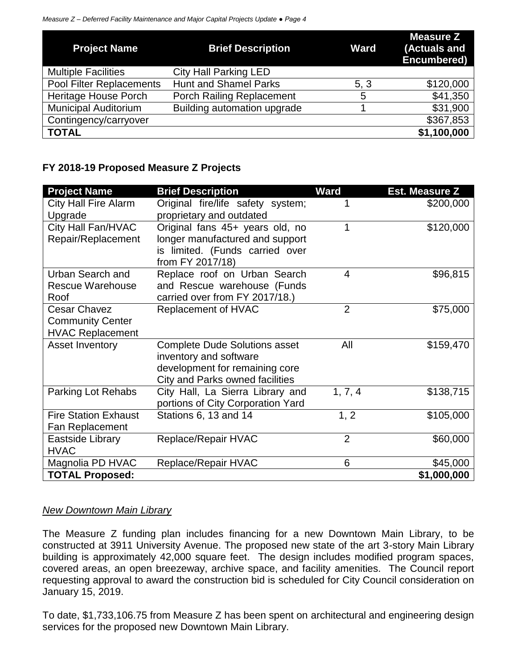| <b>Project Name</b>         | <b>Brief Description</b>         | <b>Ward</b> | <b>Measure Z</b><br>(Actuals and<br>Encumbered) |
|-----------------------------|----------------------------------|-------------|-------------------------------------------------|
| <b>Multiple Facilities</b>  | <b>City Hall Parking LED</b>     |             |                                                 |
| Pool Filter Replacements    | <b>Hunt and Shamel Parks</b>     | 5, 3        | \$120,000                                       |
| <b>Heritage House Porch</b> | <b>Porch Railing Replacement</b> | 5           | \$41,350                                        |
| <b>Municipal Auditorium</b> | Building automation upgrade      |             | \$31,900                                        |
| Contingency/carryover       |                                  |             | \$367,853                                       |
| <b>TOTAL</b>                |                                  |             | \$1,100,000                                     |

## **FY 2018-19 Proposed Measure Z Projects**

| <b>Project Name</b>         | <b>Brief Description</b>             | <b>Ward</b>    | <b>Est. Measure Z</b> |
|-----------------------------|--------------------------------------|----------------|-----------------------|
| <b>City Hall Fire Alarm</b> | Original fire/life safety system;    | 1              | \$200,000             |
| Upgrade                     | proprietary and outdated             |                |                       |
| City Hall Fan/HVAC          | Original fans 45+ years old, no      | 1              | \$120,000             |
| Repair/Replacement          | longer manufactured and support      |                |                       |
|                             | is limited. (Funds carried over      |                |                       |
|                             | from FY 2017/18)                     |                |                       |
| <b>Urban Search and</b>     | Replace roof on Urban Search         | $\overline{4}$ | \$96,815              |
| <b>Rescue Warehouse</b>     | and Rescue warehouse (Funds          |                |                       |
| Roof                        | carried over from FY 2017/18.)       |                |                       |
| <b>Cesar Chavez</b>         | Replacement of HVAC                  | $\overline{2}$ | \$75,000              |
| <b>Community Center</b>     |                                      |                |                       |
| <b>HVAC Replacement</b>     |                                      |                |                       |
| <b>Asset Inventory</b>      | <b>Complete Dude Solutions asset</b> | All            | \$159,470             |
|                             | inventory and software               |                |                       |
|                             | development for remaining core       |                |                       |
|                             | City and Parks owned facilities      |                |                       |
| Parking Lot Rehabs          | City Hall, La Sierra Library and     | 1, 7, 4        | \$138,715             |
|                             | portions of City Corporation Yard    |                |                       |
| <b>Fire Station Exhaust</b> | Stations 6, 13 and 14                | 1, 2           | \$105,000             |
| Fan Replacement             |                                      |                |                       |
| Eastside Library            | Replace/Repair HVAC                  | $\overline{2}$ | \$60,000              |
| <b>HVAC</b>                 |                                      |                |                       |
| Magnolia PD HVAC            | Replace/Repair HVAC                  | 6              | \$45,000              |
| <b>TOTAL Proposed:</b>      |                                      |                | \$1,000,000           |

## *New Downtown Main Library*

The Measure Z funding plan includes financing for a new Downtown Main Library, to be constructed at 3911 University Avenue. The proposed new state of the art 3-story Main Library building is approximately 42,000 square feet. The design includes modified program spaces, covered areas, an open breezeway, archive space, and facility amenities. The Council report requesting approval to award the construction bid is scheduled for City Council consideration on January 15, 2019.

To date, \$1,733,106.75 from Measure Z has been spent on architectural and engineering design services for the proposed new Downtown Main Library.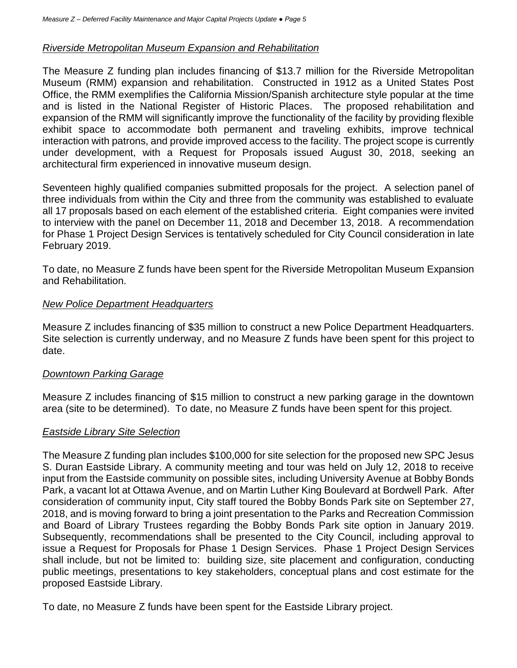#### *Riverside Metropolitan Museum Expansion and Rehabilitation*

The Measure Z funding plan includes financing of \$13.7 million for the Riverside Metropolitan Museum (RMM) expansion and rehabilitation. Constructed in 1912 as a United States Post Office, the RMM exemplifies the California Mission/Spanish architecture style popular at the time and is listed in the National Register of Historic Places. The proposed rehabilitation and expansion of the RMM will significantly improve the functionality of the facility by providing flexible exhibit space to accommodate both permanent and traveling exhibits, improve technical interaction with patrons, and provide improved access to the facility. The project scope is currently under development, with a Request for Proposals issued August 30, 2018, seeking an architectural firm experienced in innovative museum design.

Seventeen highly qualified companies submitted proposals for the project. A selection panel of three individuals from within the City and three from the community was established to evaluate all 17 proposals based on each element of the established criteria. Eight companies were invited to interview with the panel on December 11, 2018 and December 13, 2018. A recommendation for Phase 1 Project Design Services is tentatively scheduled for City Council consideration in late February 2019.

To date, no Measure Z funds have been spent for the Riverside Metropolitan Museum Expansion and Rehabilitation.

#### *New Police Department Headquarters*

Measure Z includes financing of \$35 million to construct a new Police Department Headquarters. Site selection is currently underway, and no Measure Z funds have been spent for this project to date.

#### *Downtown Parking Garage*

Measure Z includes financing of \$15 million to construct a new parking garage in the downtown area (site to be determined). To date, no Measure Z funds have been spent for this project.

#### *Eastside Library Site Selection*

The Measure Z funding plan includes \$100,000 for site selection for the proposed new SPC Jesus S. Duran Eastside Library. A community meeting and tour was held on July 12, 2018 to receive input from the Eastside community on possible sites, including University Avenue at Bobby Bonds Park, a vacant lot at Ottawa Avenue, and on Martin Luther King Boulevard at Bordwell Park. After consideration of community input, City staff toured the Bobby Bonds Park site on September 27, 2018, and is moving forward to bring a joint presentation to the Parks and Recreation Commission and Board of Library Trustees regarding the Bobby Bonds Park site option in January 2019. Subsequently, recommendations shall be presented to the City Council, including approval to issue a Request for Proposals for Phase 1 Design Services. Phase 1 Project Design Services shall include, but not be limited to: building size, site placement and configuration, conducting public meetings, presentations to key stakeholders, conceptual plans and cost estimate for the proposed Eastside Library.

To date, no Measure Z funds have been spent for the Eastside Library project.